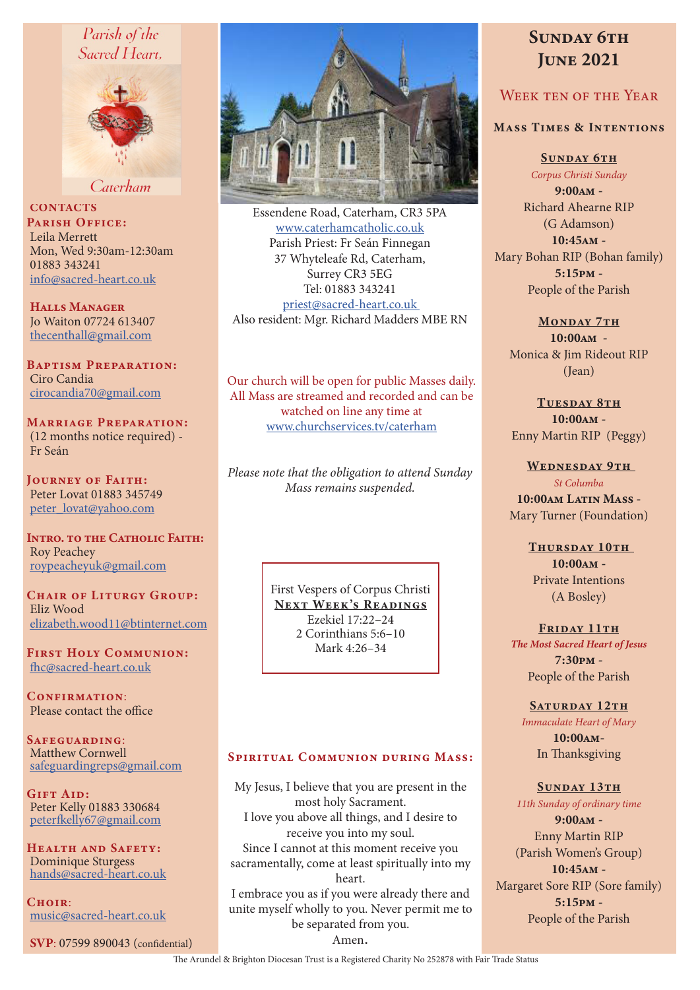# Parish of the Sacred Heart.



Caterham

**CONTACTS** PARISH OFFICE: Leila Merrett Mon, Wed 9:30am-12:30am 01883 343241 info@sacred-heart.co.uk

Halls Manager Jo Waiton 07724 613407 thecenthall@gmail.com

Baptism Preparation: Ciro Candia cirocandia70@gmail.com

Marriage Preparation: (12 months notice required) - Fr Seán

Journey of Faith: Peter Lovat 01883 345749 peter\_lovat@yahoo.com

INTRO. TO THE CATHOLIC FAITH: Roy Peachey roypeacheyuk@gmail.com

CHAIR OF LITURGY GROUP: Eliz Wood elizabeth.wood11@btinternet.com

First Holy Communion: fhc@sacred-heart.co.uk

CONFIRMATION: Please contact the office

Safeguarding: Matthew Cornwell safeguardingreps@gmail.com

Gift Aid: Peter Kelly 01883 330684 peterfkelly67@gmail.com

Health and Safety: Dominique Sturgess hands@sacred-heart.co.uk

 $C$ HOIR $\cdot$ music@sacred-heart.co.uk

SVP: 07599 890043 (confidential)



Essendene Road, Caterham, CR3 5PA www.caterhamcatholic.co.uk Parish Priest: Fr Seán Finnegan 37 Whyteleafe Rd, Caterham, Surrey CR3 5EG Tel: 01883 343241 priest@sacred-heart.co.uk Also resident: Mgr. Richard Madders MBE RN

Our church will be open for public Masses daily. All Mass are streamed and recorded and can be watched on line any time at www.churchservices.tv/caterham

*Please note that the obligation to attend Sunday Mass remains suspended.*

> First Vespers of Corpus Christi NEXT WEEK'S READINGS Ezekiel 17:22–24 2 Corinthians 5:6–10 Mark 4:26–34

## SPIRITUAL COMMUNION DURING MASS:

My Jesus, I believe that you are present in the most holy Sacrament. I love you above all things, and I desire to receive you into my soul. Since I cannot at this moment receive you sacramentally, come at least spiritually into my heart. I embrace you as if you were already there and unite myself wholly to you. Never permit me to be separated from you. Amen.

# SUNDAY 6TH **JUNE 2021**

# WEEK TEN OF THE YEAR

### Mass Times & Intentions

SUNDAY 6TH

*Corpus Christi Sunday* 9:00am - Richard Ahearne RIP (G Adamson) 10:45am - Mary Bohan RIP (Bohan family) 5:15pm - People of the Parish

#### MONDAY 7TH

10:00am - Monica & Jim Rideout RIP (Jean)

> TUESDAY 8TH 10:00am -

Enny Martin RIP (Peggy)

WEDNESDAY 9TH *St Columba* 10:00am Latin Mass -Mary Turner (Foundation)

> THURSDAY 10TH 10:00am - Private Intentions (A Bosley)

FRIDAY 11TH *The Most Sacred Heart of Jesus* 7:30pm - People of the Parish

SATURDAY 12TH *Immaculate Heart of Mary* 10:00am-In Thanksgiving

### SUNDAY 13TH

*11th Sunday of ordinary time* 9:00am - Enny Martin RIP (Parish Women's Group) 10:45am - Margaret Sore RIP (Sore family) 5:15pm - People of the Parish

The Arundel & Brighton Diocesan Trust is a Registered Charity No 252878 with Fair Trade Status